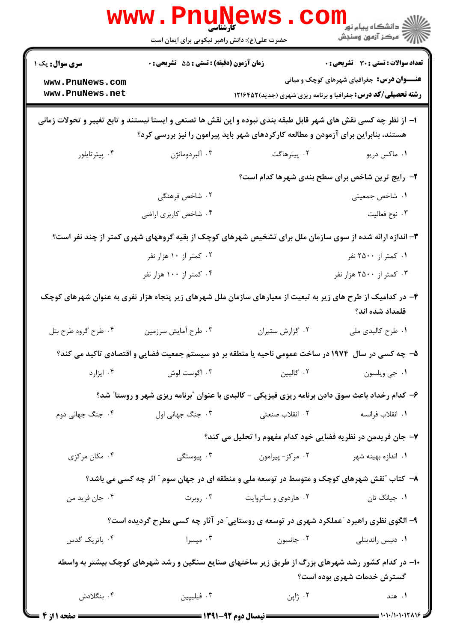|                                                                                                                                                                                                      | <b>WWW . PI</b><br>کارشناسی<br>حضرت علی(ع): دانش راهبر نیکویی برای ایمان است                           |                      | ر دانشڪاه پيام نور ■<br>// مرکز آزمون وسنڊش                                                                               |  |
|------------------------------------------------------------------------------------------------------------------------------------------------------------------------------------------------------|--------------------------------------------------------------------------------------------------------|----------------------|---------------------------------------------------------------------------------------------------------------------------|--|
| <b>سری سوال :</b> یک ۱                                                                                                                                                                               | زمان آزمون (دقیقه) : تستی : 55 تشریحی : 0                                                              |                      | <b>تعداد سوالات : تستی : 30 ٪ تشریحی : 0</b>                                                                              |  |
| www.PnuNews.com<br>www.PnuNews.net                                                                                                                                                                   |                                                                                                        |                      | <b>عنـــوان درس:</b> جغرافیای شهرهای کوچک و میانی<br><b>رشته تحصیلی/کد درس:</b> جغرافیا و برنامه ریزی شهری (جدید) ۱۲۱۶۴۵۲ |  |
| ا– از نظر چه کسی نقش های شهر قابل طبقه بندی نبوده و این نقش ها تصنعی و ایستا نیستند و تابع تغییر و تحولات زمانی<br>هستند، بنابراین برای آزمودن و مطالعه کارکردهای شهر باید پیرامون را نیز بررسی کرد؟ |                                                                                                        |                      |                                                                                                                           |  |
| ۰۴ پیترتایلور                                                                                                                                                                                        | ۰۳ آلبردومانژن                                                                                         | ۰۲ پیترهاگت          | ۰۱ ماکس دريو                                                                                                              |  |
|                                                                                                                                                                                                      |                                                                                                        |                      | ۲- رایج ترین شاخص برای سطح بندی شهرها کدام است؟                                                                           |  |
|                                                                                                                                                                                                      | ۲. شاخص فرهنگی                                                                                         |                      | ۰۱ شاخص جمعیتی                                                                                                            |  |
|                                                                                                                                                                                                      | ۰۴ شاخص کاربری اراضی                                                                                   |                      | ٠٣ نوع فعاليت                                                                                                             |  |
|                                                                                                                                                                                                      | ۳- اندازه ارائه شده از سوی سازمان ملل برای تشخیص شهرهای کوچک از بقیه گروههای شهری کمتر از چند نفر است؟ |                      |                                                                                                                           |  |
|                                                                                                                                                                                                      | ۰۲ کمتر از ۱۰ هزار نفر                                                                                 |                      | ۰۱ کمتر از ۲۵۰۰ نفر                                                                                                       |  |
|                                                                                                                                                                                                      | ۰۴ کمتر از ۱۰۰ هزار نفر                                                                                |                      | ۰۳ کمتر از ۲۵۰۰ هزار نفر                                                                                                  |  |
| ۴– در کدامیک از طرح های زیر به تبعیت از معیارهای سازمان ملل شهرهای زیر پنجاه هزار نفری به عنوان شهرهای کوچک<br>قلمداد شده اند؟                                                                       |                                                                                                        |                      |                                                                                                                           |  |
| ۰۴ طرح گروه طرح بتل                                                                                                                                                                                  | ۰۳ طرح أمايش سرزمين                                                                                    | ٠٢ گزارش ستيران      | ۰۱ طرح کالبدی ملی                                                                                                         |  |
| ۵– چه کسی در سال ۱۹۷۴ در ساخت عمومی ناحیه یا منطقه بر دو سیستم جمعیت فضایی و اقتصادی تاکید می کند؟                                                                                                   |                                                                                                        |                      |                                                                                                                           |  |
| ۰۴ ایزارد                                                                                                                                                                                            | ۰۳ اگوست لوش                                                                                           | ۰۲ گالپين            | ٠١ جي ويلسون                                                                                                              |  |
| ۶- کدام رخداد باعث سوق دادن برنامه ریزی فیزیکی - کالبدی با عنوان "برنامه ریزی شهر و روستا" شد؟                                                                                                       |                                                                                                        |                      |                                                                                                                           |  |
| ۰۴ جنگ جهانی دوم                                                                                                                                                                                     | ۰۳ جنگ جهانی اول                                                                                       | ۰۲ انقلاب صنعتی      | ٠١. انقلاب فرانسه                                                                                                         |  |
|                                                                                                                                                                                                      |                                                                                                        |                      | ۷- جان فریدمن در نظریه فضایی خود کدام مفهوم را تحلیل می کند؟                                                              |  |
| ۰۴ مکان مرکزی                                                                                                                                                                                        | ۰۳ پیوستگی                                                                                             | ۰۲ مرکز- پیرامون     | ۰۱ اندازه بهینه شهر                                                                                                       |  |
| ۸– کتاب "نقش شهرهای کوچک و متوسط در توسعه ملی و منطقه ای در جهان سوم " آثر چه کسی می باشد؟                                                                                                           |                                                                                                        |                      |                                                                                                                           |  |
| ۰۴ جان فريد من                                                                                                                                                                                       | ۰۳ روبرت                                                                                               | ۰۲ هاردوی و ساتروایت | ۰۱ جیانگ تان                                                                                                              |  |
| ۹- الگوی نظری راهبرد "عملکرد شهری در توسعه ی روستایی" در آثار چه کسی مطرح گردیده است؟                                                                                                                |                                                                                                        |                      |                                                                                                                           |  |
| ۰۴ پاتریک گدس                                                                                                                                                                                        | ۰۳ میسرا                                                                                               | ۰۲ جانسون            | ۰۱ دنیس راندینلی                                                                                                          |  |
| ۱۰– در کدام کشور رشد شهرهای بزرگ از طریق زیر ساختهای صنایع سنگین و رشد شهرهای کوچک بیشتر به واسطه<br>گسترش خدمات شهری بوده است؟                                                                      |                                                                                                        |                      |                                                                                                                           |  |
| ۰۴ بنگلادش                                                                                                                                                                                           | ۰۳ فیلیپین                                                                                             | ۰۲ ژاپن              | ۰۱ هند                                                                                                                    |  |
| <b>ــ صفحه ۱ از ۴</b>                                                                                                                                                                                |                                                                                                        |                      | $\frac{1}{2}$ ) $\cdot$ ) $\cdot$ / $\cdot$ ) $\cdot$ ) $\cdot$ 1 $\tau$ $\wedge$ 1 $\varphi$                             |  |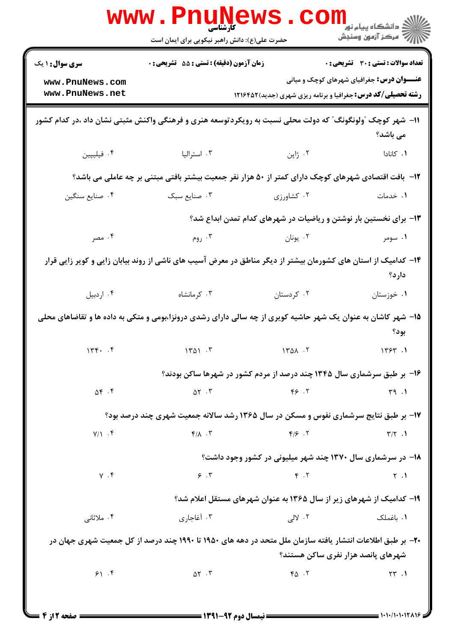|                                                                                                                         | <b>www.PnuNews</b><br>کارشناسی<br>حضرت علی(ع): دانش راهبر نیکویی برای ایمان است                           |                                                                        | ر دانشگاه پيام نور <mark>−</mark><br>ار <i>آمر</i> کز آزمون وسنجش |  |
|-------------------------------------------------------------------------------------------------------------------------|-----------------------------------------------------------------------------------------------------------|------------------------------------------------------------------------|-------------------------------------------------------------------|--|
| سری سوال: ۱ یک                                                                                                          | زمان آزمون (دقیقه) : تستی : 55 آتشریحی : 0                                                                |                                                                        | تعداد سوالات : تستى : 30 ٪ تشريحي : 0                             |  |
| www.PnuNews.com<br>www.PnuNews.net                                                                                      |                                                                                                           | <b>رشته تحصیلی/کد درس:</b> جغرافیا و برنامه ریزی شهری (جدید) ۱۲۱۶۴۵۲   | <b>عنـــوان درس:</b> جغرافیای شهرهای کوچک و میانی                 |  |
|                                                                                                                         | ۱۱- شهر کوچک ″ولونگونگ″ که دولت محلی نسبت به رویکردتوسعه هنری و فرهنگی واکنش مثبتی نشان داد ،در کدام کشور |                                                                        | می باشد؟                                                          |  |
| ۰۴ فیلیپین                                                                                                              | ۰۳ استرالیا                                                                                               | ۰۲ ژاپن                                                                | ۰۱ کانادا                                                         |  |
|                                                                                                                         | ۱۲- بافت اقتصادی شهرهای کوچک دارای کمتر از ۵۰ هزار نفر جمعیت بیشتر بافتی مبتنی بر چه عاملی می باشد؟       |                                                                        |                                                                   |  |
| ۰۴ صنايع سنگين                                                                                                          | ٢. كشاورزى مسبك                                                                                           |                                                                        | ۰۱ خدمات                                                          |  |
|                                                                                                                         |                                                                                                           | ۱۳- برای نخستین بار نوشتن و ریاضیات در شهرهای کدام تمدن ابداع شد؟      |                                                                   |  |
| ۰۴ مصر                                                                                                                  | ۰۳ روم                                                                                                    | ۰۲ يونان                                                               | ۰۱ سومر                                                           |  |
| ۱۴– کدامیک از استان های کشورمان بیشتر از دیگر مناطق در معرض آسیب های ناشی از روند بیابان زایی و کویر زایی قرار<br>دارد؟ |                                                                                                           |                                                                        |                                                                   |  |
| ۰۴ اردبيل                                                                                                               | ۰۳ کرمانشاه                                                                                               | ۰۲ کردستان                                                             | ۰۱ خوزستان                                                        |  |
| ۱۵– شهر کاشان به عنوان یک شهر حاشیه کویری از چه سالی دارای رشدی درونزا،بومی و متکی به داده ها و تقاضاهای محلی<br>بود؟   |                                                                                                           |                                                                        |                                                                   |  |
| 15.5                                                                                                                    | $\sqrt{1701}$ . $\sqrt{1701}$                                                                             | 1401.7                                                                 | 1757.1                                                            |  |
|                                                                                                                         |                                                                                                           | ۱۶- بر طبق سرشماری سال ۱۳۴۵ چند درصد از مردم کشور در شهرها ساکن بودند؟ |                                                                   |  |
| $\Delta \mathfrak{f}$ . $\mathfrak{f}$                                                                                  | $\Delta Y$ . $Y$                                                                                          | Y5.7                                                                   | 49.1                                                              |  |
|                                                                                                                         | 17- بر طبق نتایج سرشماری نفوس و مسکن در سال ۱۳۶۵ رشد سالانه جمعیت شهری چند درصد بود؟                      |                                                                        |                                                                   |  |
| $Y/Y$ . F                                                                                                               | $Y/\lambda$ .                                                                                             | $F/\mathcal{F}$ . T                                                    | $\Upsilon/\Upsilon$ .                                             |  |
|                                                                                                                         |                                                                                                           | ۱۸- در سرشماری سال ۱۳۷۰ چند شهر میلیونی در کشور وجود داشت؟             |                                                                   |  |
| $Y \cdot f$                                                                                                             | 9.7                                                                                                       | $F \cdot Y$                                                            | $\gamma$ .                                                        |  |
|                                                                                                                         |                                                                                                           | ۱۹- کدامیک از شهرهای زیر از سال ۱۳۶۵ به عنوان شهرهای مستقل اعلام شد؟   |                                                                   |  |
| ۰۴ ملاثانی                                                                                                              | ۰۳ آغاجاری                                                                                                | ۰۲ لالی                                                                | ۰۱ باغملک                                                         |  |
|                                                                                                                         | ۲۰- بر طبق اطلاعات انتشار یافته سازمان ملل متحد در دهه های ۱۹۵۰ تا ۱۹۹۰ چند درصد از کل جمعیت شهری جهان در | شهرهای پانصد هزار نفری ساکن هستند؟                                     |                                                                   |  |
| 91.9                                                                                                                    | $\Delta Y$ . $Y$                                                                                          | $Y_{\Delta}$ . $Y$                                                     | $\uparrow\uparrow$ .                                              |  |
|                                                                                                                         |                                                                                                           |                                                                        |                                                                   |  |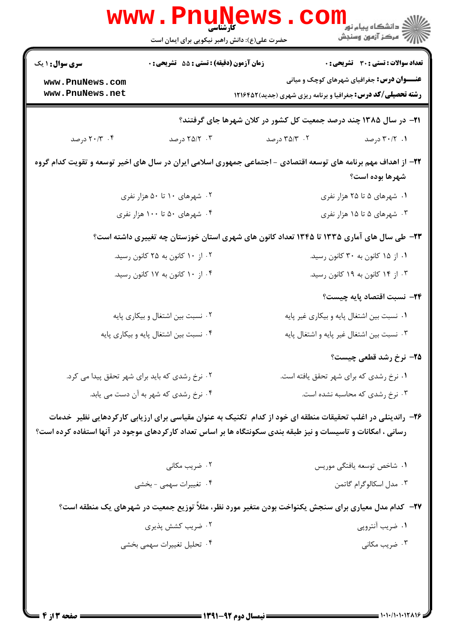|                                                                                                                                                                                                                             | WWW.Pnung<br>حضرت علی(ع): دانش راهبر نیکویی برای ایمان است | دانشگاه پیام نور<br>ا∛ مرکز آزمون وسنجش                                                                                                                            |  |  |
|-----------------------------------------------------------------------------------------------------------------------------------------------------------------------------------------------------------------------------|------------------------------------------------------------|--------------------------------------------------------------------------------------------------------------------------------------------------------------------|--|--|
| <b>سری سوال :</b> ۱ یک<br>www.PnuNews.com<br>www.PnuNews.net                                                                                                                                                                | <b>زمان آزمون (دقیقه) : تستی : 55 تشریحی : 0</b>           | تعداد سوالات : تستى : 30 - تشريحي : 0<br><b>عنـــوان درس:</b> جغرافیای شهرهای کوچک و میانی<br><b>رشته تحصیلی/کد درس:</b> جغرافیا و برنامه ریزی شهری (جدید) ۱۲۱۶۴۵۲ |  |  |
| <b>۲۱</b> - در سال ۱۳۸۵ چند درصد جمعیت کل کشور در کلان شهرها جای گرفتند؟                                                                                                                                                    |                                                            |                                                                                                                                                                    |  |  |
| ۰۴ ۲۰/۳ درصد                                                                                                                                                                                                                | ۲۵/۲۰۰۳ درصد                                               | ۰۲ ۳۵/۳ درصد<br>۰۱ - ۳۰/۲ درصد                                                                                                                                     |  |  |
|                                                                                                                                                                                                                             |                                                            | ۲۲– از اهداف مهم برنامه های توسعه اقتصادی - اجتماعی جمهوری اسلامی ایران در سال های اخیر توسعه و تقویت کدام گروه<br>شهرها بوده است؟                                 |  |  |
| ۰۲ شهرهای ۱۰ تا ۵۰ هزار نفری                                                                                                                                                                                                |                                                            | ۱. شهرهای ۵ تا ۲۵ هزار نفری                                                                                                                                        |  |  |
|                                                                                                                                                                                                                             | ۰۴ شهرهای ۵۰ تا ۱۰۰ هزار نفری                              | ۰۳ شهرهای ۵ تا ۱۵ هزار نفری                                                                                                                                        |  |  |
| ۲۳- طی سال های آماری ۱۳۳۵ تا ۱۳۴۵ تعداد کانون های شهری استان خوزستان چه تغییری داشته است؟                                                                                                                                   |                                                            |                                                                                                                                                                    |  |  |
| ۰۲ از ۱۰ کانون به ۲۵ کانون رسید.                                                                                                                                                                                            |                                                            | ۰۱ از ۱۵ کانون به ۳۰ کانون رسید.                                                                                                                                   |  |  |
|                                                                                                                                                                                                                             | ۰۴ از ۱۰ کانون به ۱۷ کانون رسید.                           | ۰۳ از ۱۴ کانون به ۱۹ کانون رسید.                                                                                                                                   |  |  |
|                                                                                                                                                                                                                             |                                                            | <b>۲۴</b> – نسبت اقتصاد پایه چیست؟                                                                                                                                 |  |  |
|                                                                                                                                                                                                                             | ۰۲ نسبت بین اشتغال و بیکاری پایه                           | ٠١ نسبت بين اشتغال پايه و بيكارى غير پايه                                                                                                                          |  |  |
| ۰۴ نسبت بین اشتغال پایه و بیکاری پایه                                                                                                                                                                                       |                                                            | ۰۳ نسبت بین اشتغال غیر پایه و اشتغال پایه                                                                                                                          |  |  |
|                                                                                                                                                                                                                             |                                                            | <b>۲۵</b> – نرخ رشد قطعی چیست؟                                                                                                                                     |  |  |
| ۰۲ نرخ رشدی که باید برای شهر تحقق پیدا می کرد.                                                                                                                                                                              |                                                            | ٠١ نرخ رشدي كه براي شهر تحقق يافته است.                                                                                                                            |  |  |
|                                                                                                                                                                                                                             | ۰۴ نرخ رشدی که شهر به آن دست می یابد.                      | ۰۳ نرخ رشدی که محاسبه نشده است.                                                                                                                                    |  |  |
| ۲۶– راندینلی در اغلب تحقیقات منطقه ای خود از کدام تکنیک به عنوان مقیاسی برای ارزیابی کارکردهایی نظیر خدمات<br>رسانی ، امکانات و تاسیسات و نیز طبقه بندی سکونتگاه ها بر اساس تعداد کارکردهای موجود در آنها استفاده کرده است؟ |                                                            |                                                                                                                                                                    |  |  |
|                                                                                                                                                                                                                             | ۰۲ ضریب مکانی                                              | ۰۱ شاخص توسعه يافتگى موريس                                                                                                                                         |  |  |
|                                                                                                                                                                                                                             | ۰۴ تغییرات سهمی - بخشی                                     | ۰۳ مدل اسکالوگرام گاتمن                                                                                                                                            |  |  |
| ۲۷– کدام مدل معیاری برای سنجش یکنواخت بودن متغیر مورد نظر، مثلاً توزیع جمعیت در شهرهای یک منطقه است؟                                                                                                                        |                                                            |                                                                                                                                                                    |  |  |
|                                                                                                                                                                                                                             | ۰۲ ضریب کشش پذیری                                          | ۰۱ ضریب آنتروپی                                                                                                                                                    |  |  |
|                                                                                                                                                                                                                             | ۰۴ تحلیل تغییرات سهمی بخشی                                 | ۰۳ ضریب مکانی                                                                                                                                                      |  |  |
|                                                                                                                                                                                                                             |                                                            |                                                                                                                                                                    |  |  |